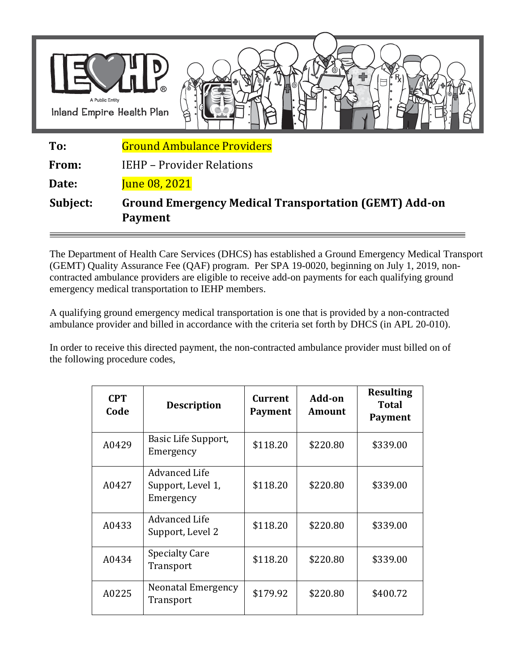

The Department of Health Care Services (DHCS) has established a Ground Emergency Medical Transport (GEMT) Quality Assurance Fee (QAF) program. Per SPA 19-0020, beginning on July 1, 2019, noncontracted ambulance providers are eligible to receive add-on payments for each qualifying ground emergency medical transportation to IEHP members.

A qualifying ground emergency medical transportation is one that is provided by a non-contracted ambulance provider and billed in accordance with the criteria set forth by DHCS (in APL 20-010).

In order to receive this directed payment, the non-contracted ambulance provider must billed on of the following procedure codes,

| <b>CPT</b><br>Code | <b>Description</b>                                     | <b>Current</b><br>Payment | Add-on<br>Amount | <b>Resulting</b><br>Total<br><b>Payment</b> |
|--------------------|--------------------------------------------------------|---------------------------|------------------|---------------------------------------------|
| A0429              | Basic Life Support,<br>Emergency                       | \$118.20                  | \$220.80         | \$339.00                                    |
| A0427              | <b>Advanced Life</b><br>Support, Level 1,<br>Emergency | \$118.20                  | \$220.80         | \$339.00                                    |
| A0433              | <b>Advanced Life</b><br>Support, Level 2               | \$118.20                  | \$220.80         | \$339.00                                    |
| A0434              | <b>Specialty Care</b><br>Transport                     | \$118.20                  | \$220.80         | \$339.00                                    |
| A0225              | Neonatal Emergency<br>Transport                        | \$179.92                  | \$220.80         | \$400.72                                    |